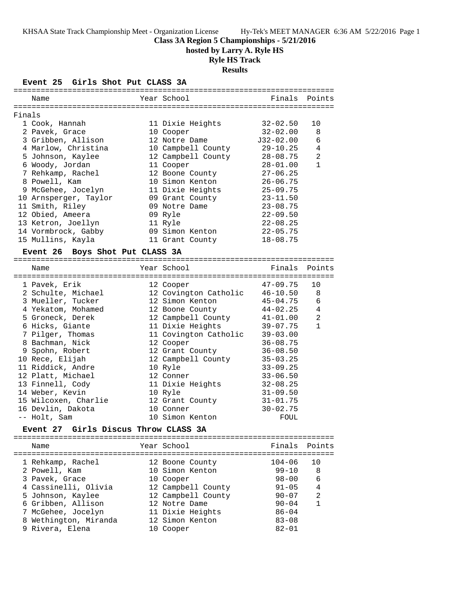KHSAA State Track Championship Meet - Organization License Hy-Tek's MEET MANAGER 6:36 AM 5/22/2016 Page 1

**Class 3A Region 5 Championships - 5/21/2016**

**hosted by Larry A. Ryle HS**

# **Ryle HS Track**

**Results**

### **Event 25 Girls Shot Put CLASS 3A**

|        | Name                  | Year School        | Finals Points |    |
|--------|-----------------------|--------------------|---------------|----|
| Finals |                       |                    |               |    |
|        | 1 Cook, Hannah        | 11 Dixie Heights   | 32-02.50      | 10 |
|        | 2 Pavek, Grace        | 10 Cooper          | $32 - 02.00$  | 8  |
|        | 3 Gribben, Allison    | 12 Notre Dame      | J32-02.00     | 6  |
|        | 4 Marlow, Christina   | 10 Campbell County | $29 - 10.25$  | 4  |
|        | 5 Johnson, Kaylee     | 12 Campbell County | $28 - 08.75$  | 2  |
|        | 6 Woody, Jordan       | 11 Cooper          | $28 - 01.00$  | 1  |
|        | 7 Rehkamp, Rachel     | 12 Boone County    | $27 - 06.25$  |    |
|        | 8 Powell, Kam         | 10 Simon Kenton    | $26 - 06.75$  |    |
|        | 9 McGehee, Jocelyn    | 11 Dixie Heights   | $25 - 09.75$  |    |
|        | 10 Arnsperger, Taylor | 09 Grant County    | $23 - 11.50$  |    |
|        | 11 Smith, Riley       | 09 Notre Dame      | $23 - 08.75$  |    |
|        | 12 Obied, Ameera      | 09 Ryle            | $22 - 09.50$  |    |
|        | 13 Ketron, Joellyn    | 11 Ryle            | $22 - 08.25$  |    |
|        | 14 Vormbrock, Gabby   | 09 Simon Kenton    | $22 - 05.75$  |    |
|        | 15 Mullins, Kayla     | 11 Grant County    | $18 - 08.75$  |    |
|        |                       |                    |               |    |

### **Event 26 Boys Shot Put CLASS 3A**

| Name                 | Year School           | Finals       | Points         |
|----------------------|-----------------------|--------------|----------------|
| 1 Pavek, Erik        | 12 Cooper             | 47-09.75     | 10             |
| 2 Schulte, Michael   | 12 Covington Catholic | $46 - 10.50$ | 8              |
| 3 Mueller, Tucker    | 12 Simon Kenton       | 45-04.75     | 6              |
| 4 Yekatom, Mohamed   | 12 Boone County       | 44-02.25     | $\overline{4}$ |
| 5 Groneck, Derek     | 12 Campbell County    | $41 - 01.00$ | 2              |
| 6 Hicks, Giante      | 11 Dixie Heights      | 39-07.75     | $\mathbf{1}$   |
| 7 Pilger, Thomas     | 11 Covington Catholic | $39 - 03.00$ |                |
| 8 Bachman, Nick      | 12 Cooper             | $36 - 08.75$ |                |
| 9 Spohn, Robert      | 12 Grant County       | $36 - 08.50$ |                |
| 10 Rece, Elijah      | 12 Campbell County    | $35 - 03.25$ |                |
| 11 Riddick, Andre    | 10 Ryle               | $33 - 09.25$ |                |
| 12 Platt, Michael    | 12 Conner             | $33 - 06.50$ |                |
| 13 Finnell, Cody     | 11 Dixie Heights      | $32 - 08.25$ |                |
| 14 Weber, Kevin      | 10 Ryle               | $31 - 09.50$ |                |
| 15 Wilcoxen, Charlie | 12 Grant County       | $31 - 01.75$ |                |
| 16 Devlin, Dakota    | 10 Conner             | $30 - 02.75$ |                |
| -- Holt, Sam         | 10 Simon Kenton       | FOUL         |                |
|                      |                       |              |                |

### **Event 27 Girls Discus Throw CLASS 3A**

| Name                                                                                                                    | Year School                                                                                                  | Finals Points                                                               |                        |
|-------------------------------------------------------------------------------------------------------------------------|--------------------------------------------------------------------------------------------------------------|-----------------------------------------------------------------------------|------------------------|
| 1 Rehkamp, Rachel<br>2 Powell, Kam<br>3 Pavek, Grace<br>4 Cassinelli, Olivia<br>5 Johnson, Kaylee<br>6 Gribben, Allison | 12 Boone County<br>10 Simon Kenton<br>10 Cooper<br>12 Campbell County<br>12 Campbell County<br>12 Notre Dame | $104 - 06$<br>$99 - 10$<br>$98 - 00$<br>$91 - 05$<br>$90 - 07$<br>$90 - 04$ | 10<br>8<br>6<br>4<br>2 |
| 7 McGehee, Jocelyn<br>8 Wethington, Miranda<br>9 Rivera, Elena                                                          | 11 Dixie Heights<br>12 Simon Kenton<br>10 Cooper                                                             | $86 - 04$<br>$83 - 08$<br>$82 - 01$                                         |                        |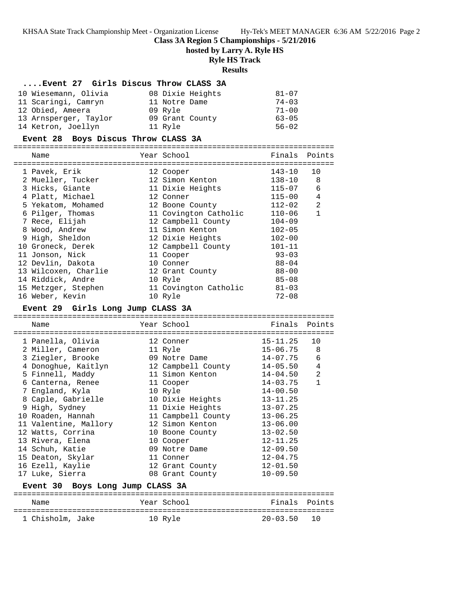KHSAA State Track Championship Meet - Organization License Hy-Tek's MEET MANAGER 6:36 AM 5/22/2016 Page 2

**Class 3A Region 5 Championships - 5/21/2016**

**hosted by Larry A. Ryle HS**

### **Ryle HS Track**

### **Results ....Event 27 Girls Discus Throw CLASS 3A** 10 Wiesemann, Olivia 08 Dixie Heights 81-07 11 Scaringi, Camryn 11 Notre Dame 74-03 12 Obied, Ameera 09 Ryle 71-00 13 Arnsperger, Taylor 09 Grant County 63-05 14 Ketron, Joellyn 11 Ryle 11 Roman 14 Ketron, Joellyn **Event 28 Boys Discus Throw CLASS 3A** ======================================================================= Name The Year School Team Points Points ======================================================================= 1 Pavek, Erik 12 Cooper 143-10 10 2 Mueller, Tucker 12 Simon Kenton 138-10 8 3 Hicks, Giante 11 Dixie Heights 115-07 6 4 Platt, Michael 12 Conner 115-00 4 5 Yekatom, Mohamed 12 Boone County 112-02 2 6 Pilger, Thomas 11 Covington Catholic 110-06 1 7 Rece, Elijah 12 Campbell County 104-09 8 Wood, Andrew 11 Simon Kenton 102-05 9 High, Sheldon 12 Dixie Heights 102-00 10 Groneck, Derek 12 Campbell County 101-11 11 Jonson, Nick 11 Cooper 93-03 12 Devlin, Dakota 10 Conner 88-04 13 Wilcoxen, Charlie 12 Grant County 88-00 14 Riddick, Andre 10 Ryle 85-08 15 Metzger, Stephen 11 Covington Catholic 81-03 16 Weber, Kevin 10 Ryle 72-08

### **Event 29 Girls Long Jump CLASS 3A**

======================================================================= Name Year School Finals Points ======================================================================= 1 Panella, Olivia 12 Conner 15-11.25 10 2 Miller, Cameron 11 Ryle 15-06.75 8 3 Ziegler, Brooke 09 Notre Dame 14-07.75 6 4 Donoghue, Kaitlyn 12 Campbell County 14-05.50 4 5 Finnell, Maddy 11 Simon Kenton 14-04.50 2 6 Canterna, Renee 11 Cooper 14-03.75 1 7 England, Kyla 10 Ryle 14-00.50 8 Caple, Gabrielle 10 Dixie Heights 13-11.25 9 High, Sydney 11 Dixie Heights 13-07.25 10 Roaden, Hannah 11 Campbell County 13-06.25 11 Valentine, Mallory 12 Simon Kenton 13-06.00 12 Watts, Corrina 10 Boone County 13-02.50 13 Rivera, Elena 10 Cooper 12-11.25 14 Schuh, Katie 09 Notre Dame 12-09.50 15 Deaton, Skylar 11 Conner 12-04.75 16 Ezell, Kaylie 12 Grant County 12-01.50 17 Luke, Sierra 08 Grant County 10-09.50 **Event 30 Boys Long Jump CLASS 3A** ======================================================================= Name The Year School The Finals Points

======================================================================= 1 Chisholm, Jake 10 Ryle 20-03.50 10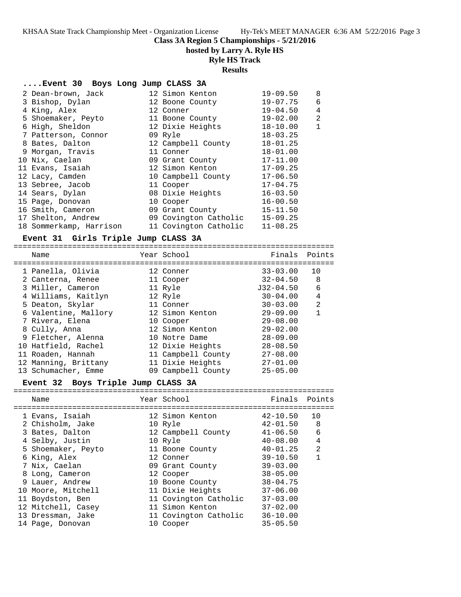**Class 3A Region 5 Championships - 5/21/2016**

**hosted by Larry A. Ryle HS**

# **Ryle HS Track**

**Results**

## **....Event 30 Boys Long Jump CLASS 3A**

| 2 Dean-brown, Jack      | 12 Simon Kenton       | $19 - 09.50$ | 8              |
|-------------------------|-----------------------|--------------|----------------|
| 3 Bishop, Dylan         | 12 Boone County       | $19 - 07.75$ | 6              |
| 4 King, Alex            | 12 Conner             | $19 - 04.50$ | $\overline{4}$ |
| 5 Shoemaker, Peyto      | 11 Boone County       | $19 - 02.00$ | 2              |
| 6 High, Sheldon         | 12 Dixie Heights      | $18 - 10.00$ | $\mathbf{1}$   |
| 7 Patterson, Connor     | 09 Ryle               | $18 - 03.25$ |                |
| 8 Bates, Dalton         | 12 Campbell County    | $18 - 01.25$ |                |
| 9 Morgan, Travis        | 11 Conner             | $18 - 01.00$ |                |
| 10 Nix, Caelan          | 09 Grant County       | $17 - 11.00$ |                |
| 11 Evans, Isaiah        | 12 Simon Kenton       | $17 - 09.25$ |                |
| 12 Lacy, Camden         | 10 Campbell County    | $17 - 06.50$ |                |
| 13 Sebree, Jacob        | 11 Cooper             | $17 - 04.75$ |                |
| 14 Sears, Dylan         | 08 Dixie Heights      | $16 - 03.50$ |                |
| 15 Page, Donovan        | 10 Cooper             | $16 - 00.50$ |                |
| 16 Smith, Cameron       | 09 Grant County       | $15 - 11.50$ |                |
| 17 Shelton, Andrew      | 09 Covington Catholic | $15 - 09.25$ |                |
| 18 Sommerkamp, Harrison | 11 Covington Catholic | $11 - 08.25$ |                |

## **Event 31 Girls Triple Jump CLASS 3A**

| Name                 | Year School        | Finals Points |                |
|----------------------|--------------------|---------------|----------------|
|                      |                    |               |                |
| 1 Panella, Olivia    | 12 Conner          | 33-03.00      | 10             |
| 2 Canterna, Renee    | 11 Cooper          | $32 - 04.50$  | 8              |
| 3 Miller, Cameron    | 11 Ryle            | J32-04.50     | 6              |
| 4 Williams, Kaitlyn  | 12 Ryle            | $30 - 04.00$  | 4              |
| 5 Deaton, Skylar     | 11 Conner          | $30 - 03.00$  | $\mathfrak{D}$ |
| 6 Valentine, Mallory | 12 Simon Kenton    | $29 - 09.00$  |                |
| 7 Rivera, Elena      | 10 Cooper          | $29 - 08.00$  |                |
| 8 Cully, Anna        | 12 Simon Kenton    | $29 - 02.00$  |                |
| 9 Fletcher, Alenna   | 10 Notre Dame      | $28 - 09.00$  |                |
| 10 Hatfield, Rachel  | 12 Dixie Heights   | $28 - 08.50$  |                |
| 11 Roaden, Hannah    | 11 Campbell County | $27 - 08.00$  |                |
| 12 Manning, Brittany | 11 Dixie Heights   | $27 - 01.00$  |                |
| 13 Schumacher, Emme  | 09 Campbell County | $25 - 05.00$  |                |
|                      |                    |               |                |

### **Event 32 Boys Triple Jump CLASS 3A**

| Name               | Year School           | Finals Points |                |
|--------------------|-----------------------|---------------|----------------|
| 1 Evans, Isaiah    | 12 Simon Kenton       | 42-10.50      | 10             |
| 2 Chisholm, Jake   | 10 Ryle               | $42 - 01.50$  | 8              |
| 3 Bates, Dalton    | 12 Campbell County    | $41 - 06.50$  | 6              |
| 4 Selby, Justin    | 10 Ryle               | $40 - 08.00$  | $\overline{4}$ |
| 5 Shoemaker, Peyto | 11 Boone County       | $40 - 01.25$  | $\mathfrak{D}$ |
| 6 King, Alex       | 12 Conner             | $39 - 10.50$  | 1              |
| 7 Nix, Caelan      | 09 Grant County       | $39 - 03.00$  |                |
| 8 Long, Cameron    | 12 Cooper             | $38 - 05.00$  |                |
| 9 Lauer, Andrew    | 10 Boone County       | $38 - 04.75$  |                |
| 10 Moore, Mitchell | 11 Dixie Heights      | $37 - 06.00$  |                |
| 11 Boydston, Ben   | 11 Covington Catholic | $37 - 03.00$  |                |
| 12 Mitchell, Casey | 11 Simon Kenton       | $37 - 02.00$  |                |
| 13 Dressman, Jake  | 11 Covington Catholic | $36 - 10.00$  |                |
| 14 Page, Donovan   | 10 Cooper             | $35 - 05.50$  |                |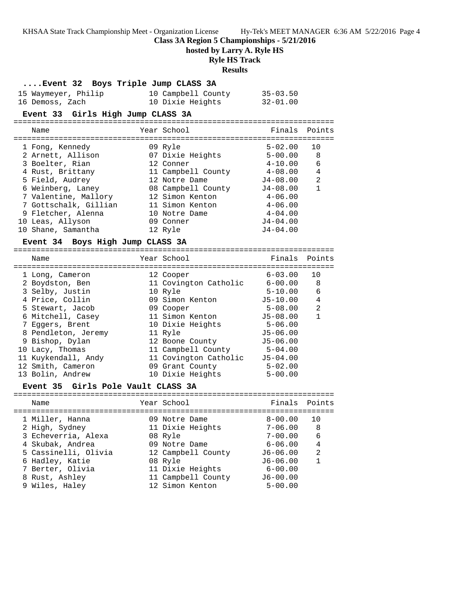|                                     | KHSAA State Track Championship Meet - Organization License Hy-Tek's MEET MANAGER 6:36 AM 5/22/2016 Page 4<br>Class 3A Region 5 Championships - 5/21/2016<br>hosted by Larry A. Ryle HS<br><b>Ryle HS Track</b><br><b>Results</b>                                  |               |               |  |  |  |  |
|-------------------------------------|-------------------------------------------------------------------------------------------------------------------------------------------------------------------------------------------------------------------------------------------------------------------|---------------|---------------|--|--|--|--|
| Event 32 Boys Triple Jump CLASS 3A  |                                                                                                                                                                                                                                                                   |               |               |  |  |  |  |
|                                     |                                                                                                                                                                                                                                                                   |               |               |  |  |  |  |
|                                     | 15 Waymeyer, Philip 10 Campbell County 35-03.50<br>16 Demoss, Zach 10 Dixie Heights 32-01.00                                                                                                                                                                      |               |               |  |  |  |  |
| Event 33 Girls High Jump CLASS 3A   |                                                                                                                                                                                                                                                                   |               |               |  |  |  |  |
| Name                                | Year School                                                                                                                                                                                                                                                       | Finals Points |               |  |  |  |  |
|                                     |                                                                                                                                                                                                                                                                   |               | 10            |  |  |  |  |
|                                     | 1 Fong, Kennedy 1 6-02.00<br>2 Arnett, Allison 1 6-07 Dixie Heights 5-00.00                                                                                                                                                                                       |               | 8             |  |  |  |  |
| 3 Boelter, Rian                     | 12 Conner                                                                                                                                                                                                                                                         | $4 - 10.00$   | 6             |  |  |  |  |
|                                     | 4 Rust, Brittany 11 Campbell County 4-08.00<br>5 Field, Audrey 12 Notre Dame 5 3.00<br>6 Weinberg, Laney 12 Notre Dame 54-08.00<br>7 Valentine, Mallory 12 Simon Kenton 4-06.00<br>7 Gottschalk, Gillian 11 Simon Kenton 4-06.00                                  |               | 4             |  |  |  |  |
|                                     |                                                                                                                                                                                                                                                                   |               | 2             |  |  |  |  |
|                                     |                                                                                                                                                                                                                                                                   |               | $\mathbf 1$   |  |  |  |  |
|                                     |                                                                                                                                                                                                                                                                   |               |               |  |  |  |  |
|                                     |                                                                                                                                                                                                                                                                   |               |               |  |  |  |  |
| 9 Fletcher, Alenna                  | 10 Notre Dame 4-04.00                                                                                                                                                                                                                                             |               |               |  |  |  |  |
| 10 Leas, Allyson                    | 09 Conner                                                                                                                                                                                                                                                         | $J4 - 04.00$  |               |  |  |  |  |
| 10 Shane, Samantha 12 Ryle          |                                                                                                                                                                                                                                                                   | J4-04.00      |               |  |  |  |  |
| Event 34 Boys High Jump CLASS 3A    |                                                                                                                                                                                                                                                                   |               |               |  |  |  |  |
|                                     |                                                                                                                                                                                                                                                                   |               |               |  |  |  |  |
| Name                                | Year School                                                                                                                                                                                                                                                       |               | Finals Points |  |  |  |  |
|                                     |                                                                                                                                                                                                                                                                   |               | 10            |  |  |  |  |
| 1 Long, Cameron                     |                                                                                                                                                                                                                                                                   |               | 8             |  |  |  |  |
|                                     |                                                                                                                                                                                                                                                                   |               | 6             |  |  |  |  |
| 2 Boydston, Ben<br>3 Selby, Justin  | 12 Cooper 6-03.00<br>11 Covington Catholic 6-00.00<br>10 Ryle 5-10.00<br>4 Price, Collin 		 09 Simon Kenton 		 J5-10.00                                                                                                                                           |               | 4             |  |  |  |  |
| 5 Stewart, Jacob 09 Cooper          |                                                                                                                                                                                                                                                                   | $5 - 08.00$   | 2             |  |  |  |  |
|                                     |                                                                                                                                                                                                                                                                   |               | 1             |  |  |  |  |
|                                     |                                                                                                                                                                                                                                                                   |               |               |  |  |  |  |
|                                     |                                                                                                                                                                                                                                                                   |               |               |  |  |  |  |
|                                     |                                                                                                                                                                                                                                                                   |               |               |  |  |  |  |
| 10 Lacy, Thomas                     |                                                                                                                                                                                                                                                                   |               |               |  |  |  |  |
| 11 Kuykendall, Andy                 | 5 Stewart, Jacob<br>6 Mitchell, Casey 11 Simon Kenton 15-08.00<br>7 Eggers, Brent 10 Dixie Heights 5-06.00<br>8 Pendleton, Jeremy 11 Ryle 15-06.00<br>9 Bishop, Dylan 12 Boone County 15-06.00<br>10 Lacy, Thomas 11 Campbell County 5-0<br>11 Covington Catholic | $J5 - 04.00$  |               |  |  |  |  |
| 12 Smith, Cameron                   | 09 Grant County                                                                                                                                                                                                                                                   | $5 - 02.00$   |               |  |  |  |  |
| 13 Bolin, Andrew                    | 10 Dixie Heights                                                                                                                                                                                                                                                  | $5 - 00.00$   |               |  |  |  |  |
| Event 35 Girls Pole Vault CLASS 3A  |                                                                                                                                                                                                                                                                   |               |               |  |  |  |  |
| Name                                | Year School                                                                                                                                                                                                                                                       | Finals        | Points        |  |  |  |  |
| 1 Miller, Hanna                     | 09 Notre Dame                                                                                                                                                                                                                                                     | $8 - 00.00$   | 10            |  |  |  |  |
| 2 High, Sydney                      | 11 Dixie Heights                                                                                                                                                                                                                                                  | $7 - 06.00$   | 8             |  |  |  |  |
| 3 Echeverria, Alexa                 | 08 Ryle                                                                                                                                                                                                                                                           | $7 - 00.00$   | 6             |  |  |  |  |
| 4 Skubak, Andrea                    | 09 Notre Dame                                                                                                                                                                                                                                                     | $6 - 06.00$   | 4             |  |  |  |  |
| 5 Cassinelli, Olivia                | 12 Campbell County                                                                                                                                                                                                                                                | $J6 - 06.00$  | 2             |  |  |  |  |
| 6 Hadley, Katie<br>7 Berter, Olivia | 08 Ryle<br>11 Dixie Heights                                                                                                                                                                                                                                       | $J6 - 06.00$  | 1             |  |  |  |  |

 8 Rust, Ashley 11 Campbell County J6-00.00 9 Wiles, Haley 12 Simon Kenton 5-00.00